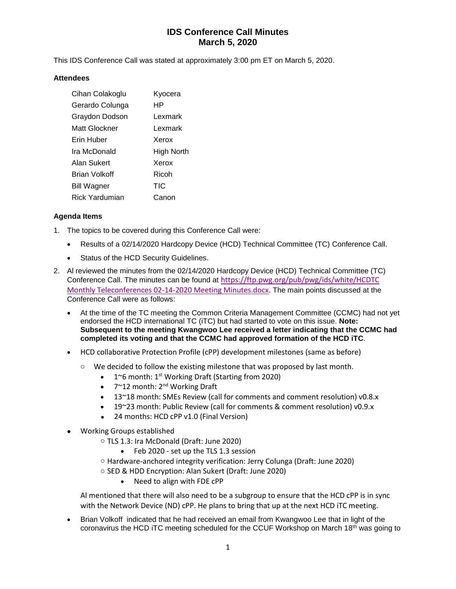# **IDS Conference Call Minutes March 5, 2020**

This IDS Conference Call was stated at approximately 3:00 pm ET on March 5, 2020.

#### **Attendees**

| Cihan Colakoglu      | Kyocera    |
|----------------------|------------|
| Gerardo Colunga      | ΗP         |
| Graydon Dodson       | Lexmark    |
| Matt Glockner        | Lexmark    |
| Erin Huber           | Xerox      |
| Ira McDonald         | High North |
| Alan Sukert          | Xerox      |
| <b>Brian Volkoff</b> | Ricoh      |
| <b>Bill Wagner</b>   | TIC        |
| Rick Yardumian       | Canon      |

### **Agenda Items**

- 1. The topics to be covered during this Conference Call were:
	- Results of a 02/14/2020 Hardcopy Device (HCD) Technical Committee (TC) Conference Call.
	- Status of the HCD Security Guidelines.
- 2. Al reviewed the minutes from the 02/14/2020 Hardcopy Device (HCD) Technical Committee (TC) Conference Call. The minutes can be found at [https://ftp.pwg.org/pub/pwg/ids/white/HCDTC](https://ftp.pwg.org/pub/pwg/ids/white/HCDTC%20Monthly%20Teleconferences%2002-14-2020%20Meeting%20Minutes.docx)  [Monthly Teleconferences 02-14-2020 Meeting Minutes.docx.](https://ftp.pwg.org/pub/pwg/ids/white/HCDTC%20Monthly%20Teleconferences%2002-14-2020%20Meeting%20Minutes.docx) The main points discussed at the Conference Call were as follows:
	- At the time of the TC meeting the Common Criteria Management Committee (CCMC) had not yet endorsed the HCD international TC (iTC) but had started to vote on this issue. **Note: Subsequent to the meeting Kwangwoo Lee received a letter indicating that the CCMC had completed its voting and that the CCMC had approved formation of the HCD iTC**.
	- HCD collaborative Protection Profile (cPP) development milestones (same as before)
		- $\circ$  We decided to follow the existing milestone that was proposed by last month.
			- 1~6 month: 1<sup>st</sup> Working Draft (Starting from 2020)
			- 7~12 month: 2<sup>nd</sup> Working Draft
			- 13~18 month: SMEs Review (call for comments and comment resolution) v0.8.x
			- 19~23 month: Public Review (call for comments & comment resolution) v0.9.x
			- 24 months: HCD cPP v1.0 (Final Version)
	- Working Groups established
		- o TLS 1.3: Ira McDonald (Draft: June 2020)
			- Feb 2020 set up the TLS 1.3 session
		- o Hardware-anchored integrity verification: Jerry Colunga (Draft: June 2020)
		- o SED & HDD Encryption: Alan Sukert (Draft: June 2020)
			- Need to align with FDE cPP

Al mentioned that there will also need to be a subgroup to ensure that the HCD cPP is in sync with the Network Device (ND) cPP. He plans to bring that up at the next HCD iTC meeting.

• Brian Volkoff indicated that he had received an email from Kwangwoo Lee that in light of the coronavirus the HCD iTC meeting scheduled for the CCUF Workshop on March 18th was going to